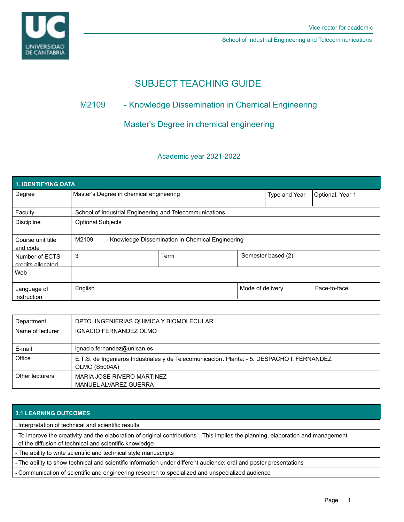

School of Industrial Engineering and Telecommunications

# SUBJECT TEACHING GUIDE

# M2109 - Knowledge Dissemination in Chemical Engineering

# Master's Degree in chemical engineering

## Academic year 2021-2022

| 1. IDENTIFYING DATA                 |                                                            |      |                  |                    |              |  |  |  |
|-------------------------------------|------------------------------------------------------------|------|------------------|--------------------|--------------|--|--|--|
| Degree                              | Master's Degree in chemical engineering                    |      | Type and Year    | Optional. Year 1   |              |  |  |  |
| Faculty                             | School of Industrial Engineering and Telecommunications    |      |                  |                    |              |  |  |  |
| <b>Discipline</b>                   | <b>Optional Subjects</b>                                   |      |                  |                    |              |  |  |  |
| Course unit title<br>and code       | M2109<br>- Knowledge Dissemination in Chemical Engineering |      |                  |                    |              |  |  |  |
| Number of ECTS<br>credits allocated | 3                                                          | Term |                  | Semester based (2) |              |  |  |  |
| Web                                 |                                                            |      |                  |                    |              |  |  |  |
| Language of<br>instruction          | English                                                    |      | Mode of delivery |                    | Face-to-face |  |  |  |

| Department       | DPTO. INGENIERIAS QUIMICA Y BIOMOLECULAR                                                                     |
|------------------|--------------------------------------------------------------------------------------------------------------|
| Name of lecturer | <b>IGNACIO FERNANDEZ OLMO</b>                                                                                |
| E-mail           | ignacio.fernandez@unican.es                                                                                  |
| Office           | E.T.S. de Ingenieros Industriales y de Telecomunicación. Planta: - 5. DESPACHO I. FERNANDEZ<br>OLMO (S5004A) |
| Other lecturers  | MARIA JOSE RIVERO MARTINEZ<br>MANUEL ALVAREZ GUERRA                                                          |

## **3.1 LEARNING OUTCOMES**

- Interpretation of technical and scientific results

- To improve the creativity and the elaboration of original contributions . This implies the planning, elaboration and management of the diffusion of technical and scientific knowledge

- The ability to write scientific and technical style manuscripts

- The ability to show technical and scientific information under different audience: oral and poster presentations

- Communication of scientific and engineering research to specialized and unspecialized audience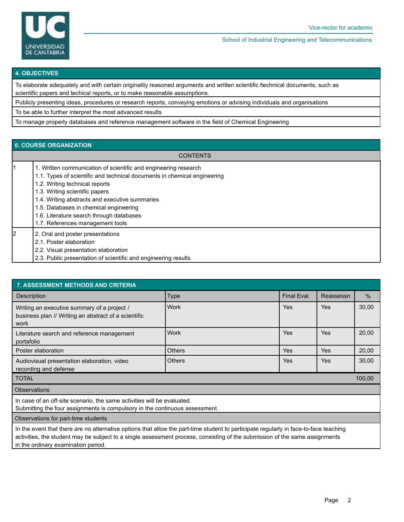

School of Industrial Engineering and Telecommunications

#### **4. OBJECTIVES**

To elaborate adequately and with certain originality reasoned arguments and written scientific /technical documents, such as scientific papers and techical reports, or to make reasonable assumptions.

Publicly presenting ideas, procedures or research reports, conveying emotions or advising individuals and organisations

To be able to further interpret the most advanced results

To manage properly databases and reference management software in the field of Chemical Engineering

### **6. COURSE ORGANIZATION**

| <b>CONTENTS</b> |                                                                                                                                                                                                                                                                                                                                                                                             |  |  |  |
|-----------------|---------------------------------------------------------------------------------------------------------------------------------------------------------------------------------------------------------------------------------------------------------------------------------------------------------------------------------------------------------------------------------------------|--|--|--|
|                 | 1. Written communication of scientific and engineering research<br>1.1. Types of scientific and technical documents in chemical engineering<br>1.2. Writing technical reports<br>1.3. Writing scientific papers<br>1.4. Writing abstracts and executive summaries<br>1.5. Databases in chemical engineering<br>1.6. Literature search through databases<br>1.7. References management tools |  |  |  |
| 2               | 2. Oral and poster presentations<br>2.1. Poster elaboration<br>2.2. Visual presentation elaboration<br>2.3. Public presentation of scientific and engineering results                                                                                                                                                                                                                       |  |  |  |

| 7. ASSESSMENT METHODS AND CRITERIA                                                                          |               |             |            |       |  |  |  |  |
|-------------------------------------------------------------------------------------------------------------|---------------|-------------|------------|-------|--|--|--|--|
| <b>Description</b>                                                                                          | <b>Type</b>   | Final Eval. | Reassessn  | $\%$  |  |  |  |  |
| Writing an executive summary of a project /<br>business plan // Writing an abstract of a scientific<br>work | <b>Work</b>   | Yes         | <b>Yes</b> | 30,00 |  |  |  |  |
| Literature search and reference management<br>portafolio                                                    | <b>Work</b>   | Yes         | <b>Yes</b> | 20,00 |  |  |  |  |
| Poster elaboration                                                                                          | <b>Others</b> | Yes         | <b>Yes</b> | 20,00 |  |  |  |  |
| Audiovisual presentation elaboration, video<br>recording and defense                                        | <b>Others</b> | Yes         | Yes        | 30,00 |  |  |  |  |
| <b>TOTAL</b><br>100,00                                                                                      |               |             |            |       |  |  |  |  |
| <b>Observations</b>                                                                                         |               |             |            |       |  |  |  |  |
| المعاوية والمرزم الموارا الأرزاد وعائر وأناديهم والمستحقق والمستحدث والمستحدث والمستحدث والمستحدث والمستحدث |               |             |            |       |  |  |  |  |

In case of an off-site scenario, the same activities will be evaluated.

Submitting the four assignments is compulsory in the continuous assessment.

Observations for part-time students

In the event that there are no alternative options that allow the part-time student to participate regularly in face-to-face teaching activities, the student may be subject to a single assessment process, consisting of the submission of the same assignments in the ordinary examination period.